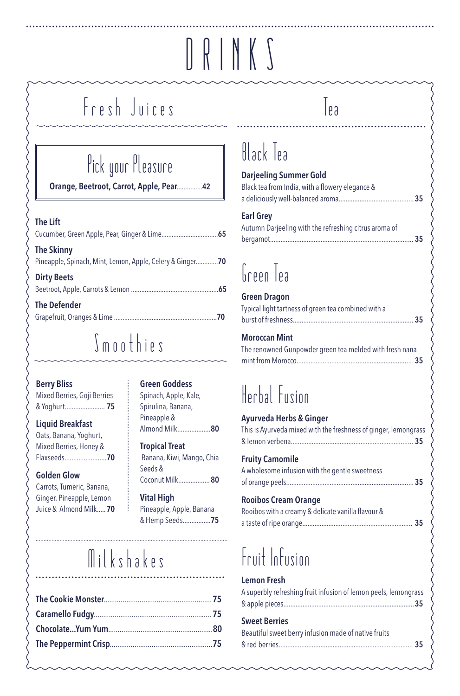# DRINKS

# Fresh Juices

# Pick your Pleasure

Orange, Beetroot, Carrot, Apple, Pear...............42

#### The Lift

| <b>The Skinny</b><br>Pineapple, Spinach, Mint, Lemon, Apple, Celery & Ginger70 |      |
|--------------------------------------------------------------------------------|------|
| <b>Dirty Beets</b>                                                             | - 65 |
| <b>The Defender</b>                                                            | 70   |

### Smoothies

#### Berry Bliss

| Mixed Berries, Goji Berries |  |
|-----------------------------|--|
| & Yoghurt 75                |  |

#### Liquid Breakfast

| Oats, Banana, Yoghurt, |
|------------------------|
| Mixed Berries, Honey & |
| Flaxseeds <b>70</b>    |

#### Golden Glow

Carrots, Tumeric, Banana, Ginger, Pineapple, Lemon Juice & Almond Milk.....70

#### Green Goddess

Spinach, Apple, Kale, Spirulina, Banana, Pineapple & Almond Milk...................80

Tropical Treat Banana, Kiwi, Mango, Chia Seeds & Coconut Milk..................80

Vital High Pineapple, Apple, Banana & Hemp Seeds................75

# Milkshakes

### $\vert_{\mathfrak{k} \mathfrak{z}}$

### Black Tea

#### Darjeeling Summer Gold

| <b>Earl Grev</b>                                |
|-------------------------------------------------|
|                                                 |
| Black tea from India, with a flowery elegance & |

| $ -$                                                  |  |
|-------------------------------------------------------|--|
| Autumn Darjeeling with the refreshing citrus aroma of |  |
|                                                       |  |

# Green Tea

| <b>Green Dragon</b>                                 |  |
|-----------------------------------------------------|--|
| Typical light tartness of green tea combined with a |  |
|                                                     |  |

Moroccan Mint The renowned Gunpowder green tea melded with fresh nana mint from Morocco.................................................................. 35

## Herbal Fusion

#### Ayurveda Herbs & Ginger

| This is Ayurveda mixed with the freshness of ginger, lemongrass |  |
|-----------------------------------------------------------------|--|
|                                                                 |  |
| <b>Fruity Camomile</b>                                          |  |
| A wholesome infusion with the gentle sweetness                  |  |
|                                                                 |  |

#### Rooibos Cream Orange

Rooibos with a creamy & delicate vanilla flavour & a taste of ripe orange............................................................... 35

# Fruit Infusion

#### Lemon Fresh

| A superbly refreshing fruit infusion of lemon peels, lemongrass |  |
|-----------------------------------------------------------------|--|
|                                                                 |  |

#### Sweet Berries

| Beautiful sweet berry infusion made of native fruits |  |
|------------------------------------------------------|--|
|                                                      |  |